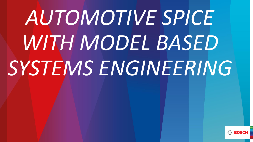# *AUTOMOTIVE SPICE WITH MODEL BASED SYSTEMS ENGINEERING*

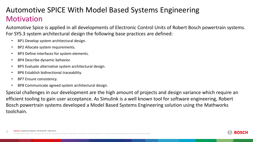# **Motivation** Automotive SPICE With Model Based Systems Engineering

Automotive Spice is applied in all developments of Electronic Control Units of Robert Bosch powertrain systems. For SYS.3 system architectural design the following base practices are defined:

- BP1 Develop system architectural design.
- BP2 Allocate system requirements.
- BP3 Define interfaces for system elements.
- BP4 Describe dynamic behavior.
- BP5 Evaluate alternative system architectural design.
- BP6 Establish bidirectional traceability.
- BP7 Ensure consistency.
- BP8 Communicate agreed system architectural design.

Special challenges in our development are the high amount of projects and design variance which require an efficient tooling to gain user acceptance. As Simulink is a well known tool for software engineering, Robert Bosch powertrain systems developed a Model Based Systems Engineering solution using the Mathworks toolchain.

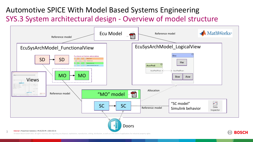# SYS.3 System architectural design - Overview of model structure Automotive SPICE With Model Based Systems Engineering

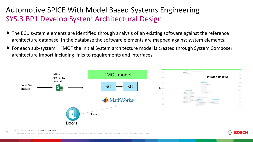### <span id="page-3-0"></span>SYS.3 BP1 Develop System Architectural Design Automotive SPICE With Model Based Systems Engineering

- ▶ The ECU system elements are identified through analysis of an existing software against the reference architecture database. In the database the software elements are mapped against system elements.
- $\triangleright$  For each sub-system = "MO" the initial System architecture model is created through System Composer architecture import including links to requirements and interfaces.



**ROSCI** 

### **Internal** | Powertrain Solutions | PS-EC/CE-PE | 2021-02-15 4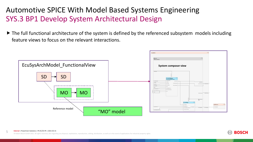### SYS.3 BP1 Develop System Architectural Design Automotive SPICE With Model Based Systems Engineering

▶ The full functional architecture of the system is defined by the referenced subsystem models including feature views to focus on the relevant interactions.





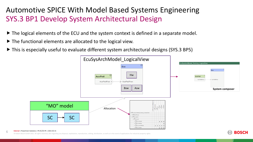### <span id="page-5-0"></span>SYS.3 BP1 Develop System Architectural Design Automotive SPICE With Model Based Systems Engineering

- $\blacktriangleright$  The logical elements of the ECU and the system context is defined in a separate model.
- The functional elements are allocated to the logical view.
- This is especially useful to evaluate different system architectural designs (SYS.3 BP5)



### **Internal** | Powertrain Solutions | PS-EC/CE-PE | 2021-02-15 6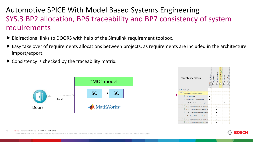# <span id="page-6-0"></span>SYS.3 BP2 allocation, BP6 traceability and BP7 consistency of system requirements Automotive SPICE With Model Based Systems Engineering

- ▶ Bidirectional links to DOORS with help of the Simulink requirement toolbox.
- Easy take over of requirements allocations between projects, as requirements are included in the architecture import/export.
- $\triangleright$  Consistency is checked by the traceability matrix.



### **Internal** | Powertrain Solutions | PS-EC/CE-PE | 2021-02-15 7

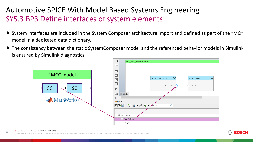## SYS.3 BP3 Define interfaces of system elements Automotive SPICE With Model Based Systems Engineering

- System interfaces are included in the System Composer architecture import and defined as part of the "MO" model in a dedicated data dictionary.
- The consistency between the static SystemComposer model and the referenced behavior models in Simulink is ensured by Simulink diagnostics.



### **Internal** | Powertrain Solutions | PS-EC/CE-PE | 2021-02-15 8

© Robert Bosch GmbH 2021. All rights reserved, also regarding any disposal, exploitation, reproduction, editing, distribution, as well as in the event of applications for industrial property rights.



⊓

**SC HmiMngt** 

AccrPedIPosn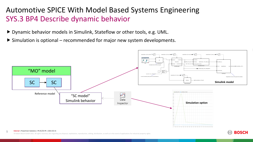### <span id="page-8-0"></span>SYS.3 BP4 Describe dynamic behavior Automotive SPICE With Model Based Systems Engineering

- ▶ Dynamic behavior models in Simulink, Stateflow or other tools, e.g. UML.
- $\triangleright$  Simulation is optional recommended for major new system developments.



**BOSCI** 

### **Internal** | Powertrain Solutions | PS-EC/CE-PE | 2021-02-15 9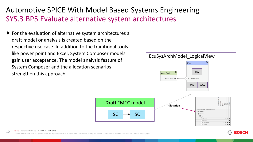### SYS.3 BP5 Evaluate alternative system architectures Automotive SPICE With Model Based Systems Engineering

 $\blacktriangleright$  For the evaluation of alternative system architectures a draft model or analysis is created based on the respective use case. In addition to the traditional tools like power point and Excel, System Composer models gain user acceptance. The model analysis feature of System Composer and the allocation scenarios strengthen this approach.



**BOSC** 

### **Internal** | Powertrain Solutions | PS-EC/CE-PE | 2021-02-15 10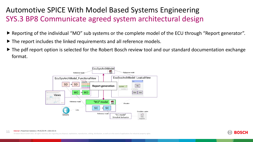# SYS.3 BP8 Communicate agreed system architectural design Automotive SPICE With Model Based Systems Engineering

- ▶ Reporting of the individual "MO" sub systems or the complete model of the ECU through "Report generator".
- ▶ The report includes the linked requirements and all reference models.
- $\triangleright$  The pdf report option is selected for the Robert Bosch review tool and our standard documentation exchange format.



### **Internal** | Powertrain Solutions | PS-EC/CE-PE | 2021-02-15 11

regarding any disposal, exploitation, reproduction, editing, distribution, as well as in the event of applications for industrial property rights